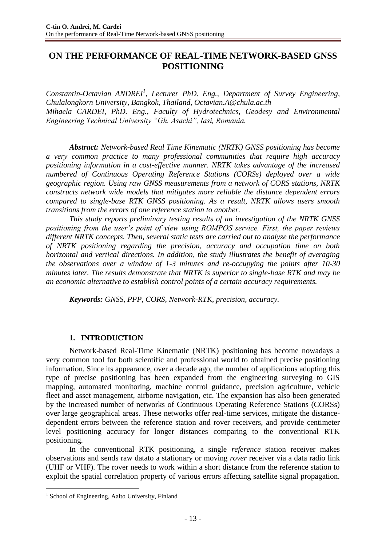# **ON THE PERFORMANCE OF REAL-TIME NETWORK-BASED GNSS POSITIONING**

*Constantin-Octavian ANDREI<sup>1</sup> , Lecturer PhD. Eng., Department of Survey Engineering, Chulalongkorn University, Bangkok, Thailand, Octavian.A@chula.ac.th Mihaela CARDEI, PhD. Eng., Faculty of Hydrotechnics, Geodesy and Environmental Engineering Technical University "Gh. Asachi", Iasi, Romania.*

*Abstract: Network-based Real Time Kinematic (NRTK) GNSS positioning has become a very common practice to many professional communities that require high accuracy positioning information in a cost-effective manner. NRTK takes advantage of the increased numbered of Continuous Operating Reference Stations (CORSs) deployed over a wide geographic region. Using raw GNSS measurements from a network of CORS stations, NRTK constructs network wide models that mitigates more reliable the distance dependent errors compared to single-base RTK GNSS positioning. As a result, NRTK allows users smooth transitions from the errors of one reference station to another.*

*This study reports preliminary testing results of an investigation of the NRTK GNSS positioning from the user's point of view using ROMPOS service. First, the paper reviews different NRTK concepts. Then, several static tests are carried out to analyze the performance of NRTK positioning regarding the precision, accuracy and occupation time on both horizontal and vertical directions. In addition, the study illustrates the benefit of averaging the observations over a window of 1-3 minutes and re-occupying the points after 10-30 minutes later. The results demonstrate that NRTK is superior to single-base RTK and may be an economic alternative to establish control points of a certain accuracy requirements.*

*Keywords: GNSS, PPP, CORS, Network-RTK, precision, accuracy.*

### **1. INTRODUCTION**

Network-based Real-Time Kinematic (NRTK) positioning has become nowadays a very common tool for both scientific and professional world to obtained precise positioning information. Since its appearance, over a decade ago, the number of applications adopting this type of precise positioning has been expanded from the engineering surveying to GIS mapping, automated monitoring, machine control guidance, precision agriculture, vehicle fleet and asset management, airborne navigation, etc. The expansion has also been generated by the increased number of networks of Continuous Operating Reference Stations (CORSs) over large geographical areas. These networks offer real-time services, mitigate the distancedependent errors between the reference station and rover receivers, and provide centimeter level positioning accuracy for longer distances comparing to the conventional RTK positioning.

In the conventional RTK positioning, a single *reference* station receiver makes observations and sends raw datato a stationary or moving *rover* receiver via a data radio link (UHF or VHF). The rover needs to work within a short distance from the reference station to exploit the spatial correlation property of various errors affecting satellite signal propagation.

 $\overline{a}$ 

<sup>&</sup>lt;sup>1</sup> School of Engineering, Aalto University, Finland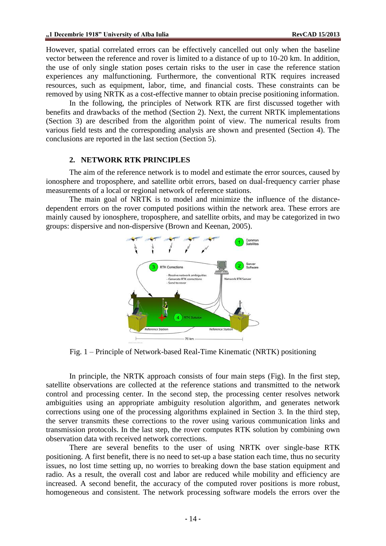However, spatial correlated errors can be effectively cancelled out only when the baseline vector between the reference and rover is limited to a distance of up to 10-20 km. In addition, the use of only single station poses certain risks to the user in case the reference station experiences any malfunctioning. Furthermore, the conventional RTK requires increased resources, such as equipment, labor, time, and financial costs. These constraints can be removed by using NRTK as a cost-effective manner to obtain precise positioning information.

In the following, the principles of Network RTK are first discussed together with benefits and drawbacks of the method (Section 2). Next, the current NRTK implementations (Section 3) are described from the algorithm point of view. The numerical results from various field tests and the corresponding analysis are shown and presented (Section 4). The conclusions are reported in the last section (Section 5).

#### **2. NETWORK RTK PRINCIPLES**

The aim of the reference network is to model and estimate the error sources, caused by ionosphere and troposphere, and satellite orbit errors, based on dual-frequency carrier phase measurements of a local or regional network of reference stations.

The main goal of NRTK is to model and minimize the influence of the distancedependent errors on the rover computed positions within the network area. These errors are mainly caused by ionosphere, troposphere, and satellite orbits, and may be categorized in two groups: dispersive and non-dispersive (Brown and Keenan, 2005).



Fig. 1 – Principle of Network-based Real-Time Kinematic (NRTK) positioning

<span id="page-1-0"></span>In principle, the NRTK approach consists of four main steps [\(Fig\)](#page-1-0). In the first step, satellite observations are collected at the reference stations and transmitted to the network control and processing center. In the second step, the processing center resolves network ambiguities using an appropriate ambiguity resolution algorithm, and generates network corrections using one of the processing algorithms explained in Section 3. In the third step, the server transmits these corrections to the rover using various communication links and transmission protocols. In the last step, the rover computes RTK solution by combining own observation data with received network corrections.

There are several benefits to the user of using NRTK over single-base RTK positioning. A first benefit, there is no need to set-up a base station each time, thus no security issues, no lost time setting up, no worries to breaking down the base station equipment and radio. As a result, the overall cost and labor are reduced while mobility and efficiency are increased. A second benefit, the accuracy of the computed rover positions is more robust, homogeneous and consistent. The network processing software models the errors over the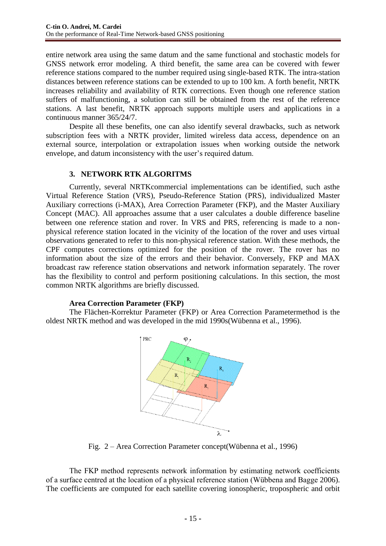entire network area using the same datum and the same functional and stochastic models for GNSS network error modeling. A third benefit, the same area can be covered with fewer reference stations compared to the number required using single-based RTK. The intra-station distances between reference stations can be extended to up to 100 km. A forth benefit, NRTK increases reliability and availability of RTK corrections. Even though one reference station suffers of malfunctioning, a solution can still be obtained from the rest of the reference stations. A last benefit, NRTK approach supports multiple users and applications in a continuous manner 365/24/7.

Despite all these benefits, one can also identify several drawbacks, such as network subscription fees with a NRTK provider, limited wireless data access, dependence on an external source, interpolation or extrapolation issues when working outside the network envelope, and datum inconsistency with the user's required datum.

# **3. NETWORK RTK ALGORITMS**

Currently, several NRTKcommercial implementations can be identified, such asthe Virtual Reference Station (VRS), Pseudo-Reference Station (PRS), individualized Master Auxiliary corrections (i-MAX), Area Correction Parameter (FKP), and the Master Auxiliary Concept (MAC). All approaches assume that a user calculates a double difference baseline between one reference station and rover. In VRS and PRS, referencing is made to a nonphysical reference station located in the vicinity of the location of the rover and uses virtual observations generated to refer to this non-physical reference station. With these methods, the CPF computes corrections optimized for the position of the rover. The rover has no information about the size of the errors and their behavior. Conversely, FKP and MAX broadcast raw reference station observations and network information separately. The rover has the flexibility to control and perform positioning calculations. In this section, the most common NRTK algorithms are briefly discussed.

### **Area Correction Parameter (FKP)**

The Flächen-Korrektur Parameter (FKP) or Area Correction Parametermethod is the oldest NRTK method and was developed in the mid 1990s(Wübenna et al., 1996).



Fig. 2 – Area Correction Parameter concept(Wübenna et al., 1996)

The FKP method represents network information by estimating network coefficients of a surface centred at the location of a physical reference station (Wübbena and Bagge 2006). The coefficients are computed for each satellite covering ionospheric, tropospheric and orbit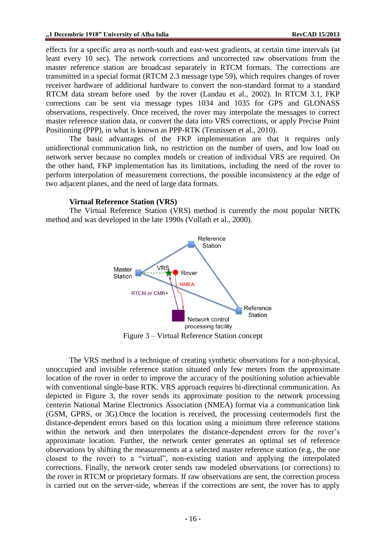effects for a specific area as north-south and east-west gradients, at certain time intervals (at least every 10 sec). The network corrections and uncorrected raw observations from the master reference station are broadcast separately in RTCM formats. The corrections are transmitted in a special format (RTCM 2.3 message type 59), which requires changes of rover receiver hardware of additional hardware to convert the non-standard format to a standard RTCM data stream before used by the rover (Landau et al., 2002). In RTCM 3.1, FKP corrections can be sent via message types 1034 and 1035 for GPS and GLONASS observations, respectively. Once received, the rover may interpolate the messages to correct master reference station data, or convert the data into VRS corrections, or apply Precise Point Positioning (PPP), in what is known as PPP-RTK (Teunissen et al., 2010).

The basic advantages of the FKP implementation are that it requires only unidirectional communication link, no restriction on the number of users, and low load on network server because no complex models or creation of individual VRS are required. On the other hand, FKP implementation has its limitations, including the need of the rover to perform interpolation of measurement corrections, the possible inconsistency at the edge of two adjacent planes, and the need of large data formats.

#### **Virtual Reference Station (VRS)**

The Virtual Reference Station (VRS) method is currently the most popular NRTK method and was developed in the late 1990s (Vollath et al., 2000).



Figure 3 – Virtual Reference Station concept

<span id="page-3-0"></span>The VRS method is a technique of creating synthetic observations for a non-physical, unoccupied and invisible reference station situated only few meters from the approximate location of the rover in order to improve the accuracy of the positioning solution achievable with conventional single-base RTK. VRS approach requires bi-directional communication. As depicted in [Figure 3,](#page-3-0) the rover sends its approximate position to the network processing centerin National Marine Electronics Association (NMEA) format via a communication link (GSM, GPRS, or 3G).Once the location is received, the processing centermodels first the distance-dependent errors based on this location using a minimum three reference stations within the network and then interpolates the distance-dependent errors for the rover's approximate location. Further, the network center generates an optimal set of reference observations by shifting the measurements at a selected master reference station (e.g., the one closest to the rover) to a "virtual", non-existing station and applying the interpolated corrections. Finally, the network center sends raw modeled observations (or corrections) to the rover in RTCM or proprietary formats. If raw observations are sent, the correction process is carried out on the server-side, whereas if the corrections are sent, the rover has to apply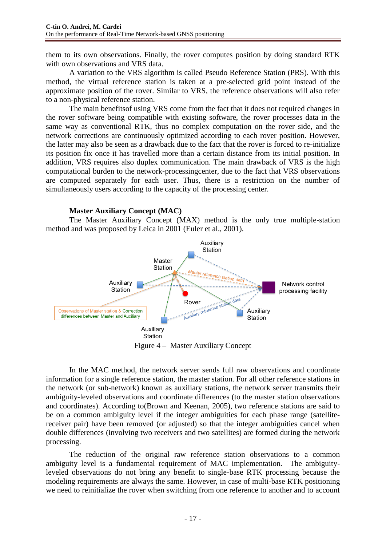them to its own observations. Finally, the rover computes position by doing standard RTK with own observations and VRS data.

A variation to the VRS algorithm is called Pseudo Reference Station (PRS). With this method, the virtual reference station is taken at a pre-selected grid point instead of the approximate position of the rover. Similar to VRS, the reference observations will also refer to a non-physical reference station.

The main benefitsof using VRS come from the fact that it does not required changes in the rover software being compatible with existing software, the rover processes data in the same way as conventional RTK, thus no complex computation on the rover side, and the network corrections are continuously optimized according to each rover position. However, the latter may also be seen as a drawback due to the fact that the rover is forced to re-initialize its position fix once it has travelled more than a certain distance from its initial position. In addition, VRS requires also duplex communication. The main drawback of VRS is the high computational burden to the network-processingcenter, due to the fact that VRS observations are computed separately for each user. Thus, there is a restriction on the number of simultaneously users according to the capacity of the processing center.

### **Master Auxiliary Concept (MAC)**

The Master Auxiliary Concept (MAX) method is the only true multiple-station method and was proposed by Leica in 2001 (Euler et al., 2001).



Figure 4 – Master Auxiliary Concept

In the MAC method, the network server sends full raw observations and coordinate information for a single reference station, the master station. For all other reference stations in the network (or sub-network) known as auxiliary stations, the network server transmits their ambiguity-leveled observations and coordinate differences (to the master station observations and coordinates). According to(Brown and Keenan, 2005), two reference stations are said to be on a common ambiguity level if the integer ambiguities for each phase range (satellitereceiver pair) have been removed (or adjusted) so that the integer ambiguities cancel when double differences (involving two receivers and two satellites) are formed during the network processing.

The reduction of the original raw reference station observations to a common ambiguity level is a fundamental requirement of MAC implementation. The ambiguityleveled observations do not bring any benefit to single-base RTK processing because the modeling requirements are always the same. However, in case of multi-base RTK positioning we need to reinitialize the rover when switching from one reference to another and to account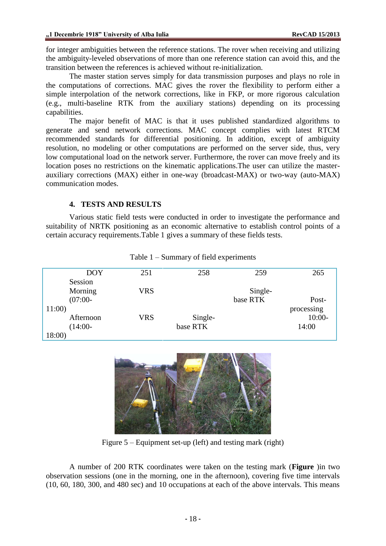for integer ambiguities between the reference stations. The rover when receiving and utilizing the ambiguity-leveled observations of more than one reference station can avoid this, and the transition between the references is achieved without re-initialization.

The master station serves simply for data transmission purposes and plays no role in the computations of corrections. MAC gives the rover the flexibility to perform either a simple interpolation of the network corrections, like in FKP, or more rigorous calculation (e.g., multi-baseline RTK from the auxiliary stations) depending on its processing capabilities.

The major benefit of MAC is that it uses published standardized algorithms to generate and send network corrections. MAC concept complies with latest RTCM recommended standards for differential positioning. In addition, except of ambiguity resolution, no modeling or other computations are performed on the server side, thus, very low computational load on the network server. Furthermore, the rover can move freely and its location poses no restrictions on the kinematic applications.The user can utilize the masterauxiliary corrections (MAX) either in one-way (broadcast-MAX) or two-way (auto-MAX) communication modes.

## **4. TESTS AND RESULTS**

Various static field tests were conducted in order to investigate the performance and suitability of NRTK positioning as an economic alternative to establish control points of a certain accuracy requirements[.Table 1](#page-5-0) gives a summary of these fields tests.

<span id="page-5-0"></span>

| <b>DOY</b> | 251        | 258      | 259      | 265        |
|------------|------------|----------|----------|------------|
|            |            |          |          |            |
| Session    |            |          |          |            |
| Morning    | <b>VRS</b> |          | Single-  |            |
|            |            |          |          |            |
| $(07:00 -$ |            |          | base RTK | Post-      |
| 11:00      |            |          |          | processing |
|            |            |          |          |            |
| Afternoon  | <b>VRS</b> | Single-  |          | $10:00-$   |
| $(14:00 -$ |            | base RTK |          | 14:00      |
|            |            |          |          |            |
| 18:00)     |            |          |          |            |

Table 1 – Summary of field experiments



Figure 5 – Equipment set-up (left) and testing mark (right)

<span id="page-5-1"></span>A number of 200 RTK coordinates were taken on the testing mark (**[Figure](#page-5-1)** )in two observation sessions (one in the morning, one in the afternoon), covering five time intervals (10, 60, 180, 300, and 480 sec) and 10 occupations at each of the above intervals. This means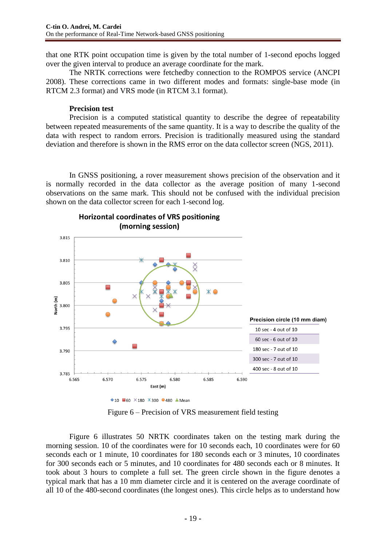that one RTK point occupation time is given by the total number of 1-second epochs logged over the given interval to produce an average coordinate for the mark.

The NRTK corrections were fetchedby connection to the ROMPOS service (ANCPI 2008). These corrections came in two different modes and formats: single-base mode (in RTCM 2.3 format) and VRS mode (in RTCM 3.1 format).

#### **Precision test**

Precision is a computed statistical quantity to describe the degree of repeatability between repeated measurements of the same quantity. It is a way to describe the quality of the data with respect to random errors. Precision is traditionally measured using the standard deviation and therefore is shown in the RMS error on the data collector screen (NGS, 2011).

In GNSS positioning, a rover measurement shows precision of the observation and it is normally recorded in the data collector as the average position of many 1-second observations on the same mark. This should not be confused with the individual precision shown on the data collector screen for each 1-second log.



**Horizontal coordinates of VRS positioning** (morning session)

Figure 6 – Precision of VRS measurement field testing

<span id="page-6-0"></span>[Figure 6](#page-6-0) illustrates 50 NRTK coordinates taken on the testing mark during the morning session. 10 of the coordinates were for 10 seconds each, 10 coordinates were for 60 seconds each or 1 minute, 10 coordinates for 180 seconds each or 3 minutes, 10 coordinates for 300 seconds each or 5 minutes, and 10 coordinates for 480 seconds each or 8 minutes. It took about 3 hours to complete a full set. The green circle shown in the figure denotes a typical mark that has a 10 mm diameter circle and it is centered on the average coordinate of all 10 of the 480-second coordinates (the longest ones). This circle helps as to understand how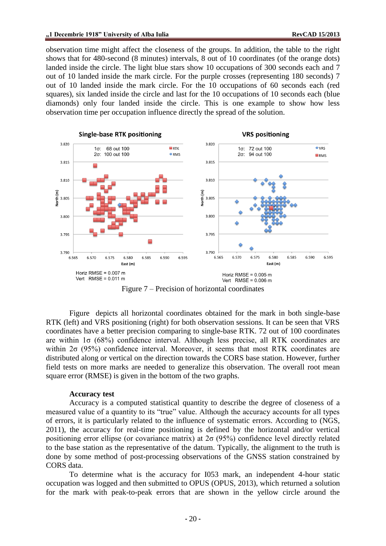observation time might affect the closeness of the groups. In addition, the table to the right shows that for 480-second (8 minutes) intervals, 8 out of 10 coordinates (of the orange dots) landed inside the circle. The light blue stars show 10 occupations of 300 seconds each and 7 out of 10 landed inside the mark circle. For the purple crosses (representing 180 seconds) 7 out of 10 landed inside the mark circle. For the 10 occupations of 60 seconds each (red squares), six landed inside the circle and last for the 10 occupations of 10 seconds each (blue diamonds) only four landed inside the circle. This is one example to show how less observation time per occupation influence directly the spread of the solution.



Figure 7 – Precision of horizontal coordinates

<span id="page-7-0"></span>[Figure](#page-7-0) depicts all horizontal coordinates obtained for the mark in both single-base RTK (left) and VRS positioning (right) for both observation sessions. It can be seen that VRS coordinates have a better precision comparing to single-base RTK. 72 out of 100 coordinates are within  $1\sigma$  (68%) confidence interval. Although less precise, all RTK coordinates are within  $2\sigma$  (95%) confidence interval. Moreover, it seems that most RTK coordinates are distributed along or vertical on the direction towards the CORS base station. However, further field tests on more marks are needed to generalize this observation. The overall root mean square error (RMSE) is given in the bottom of the two graphs.

#### **Accuracy test**

Accuracy is a computed statistical quantity to describe the degree of closeness of a measured value of a quantity to its "true" value. Although the accuracy accounts for all types of errors, it is particularly related to the influence of systematic errors. According to (NGS, 2011), the accuracy for real-time positioning is defined by the horizontal and/or vertical positioning error ellipse (or covariance matrix) at  $2\sigma$  (95%) confidence level directly related to the base station as the representative of the datum. Typically, the alignment to the truth is done by some method of post-processing observations of the GNSS station constrained by CORS data.

To determine what is the accuracy for I053 mark, an independent 4-hour static occupation was logged and then submitted to OPUS (OPUS, 2013), which returned a solution for the mark with peak-to-peak errors that are shown in the yellow circle around the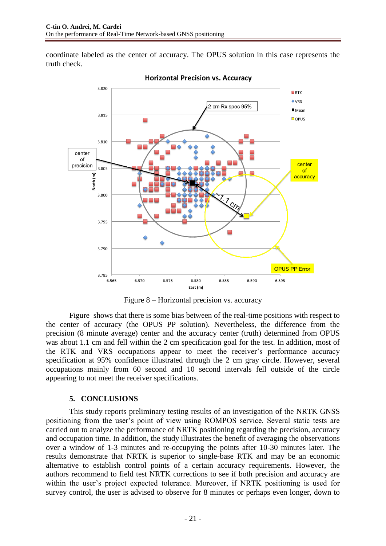coordinate labeled as the center of accuracy. The OPUS solution in this case represents the truth check.



#### **Horizontal Precision vs. Accuracy**

Figure 8 – Horizontal precision vs. accuracy

<span id="page-8-0"></span>[Figure](#page-8-0) shows that there is some bias between of the real-time positions with respect to the center of accuracy (the OPUS PP solution). Nevertheless, the difference from the precision (8 minute average) center and the accuracy center (truth) determined from OPUS was about 1.1 cm and fell within the 2 cm specification goal for the test. In addition, most of the RTK and VRS occupations appear to meet the receiver's performance accuracy specification at 95% confidence illustrated through the 2 cm gray circle. However, several occupations mainly from 60 second and 10 second intervals fell outside of the circle appearing to not meet the receiver specifications.

# **5. CONCLUSIONS**

This study reports preliminary testing results of an investigation of the NRTK GNSS positioning from the user's point of view using ROMPOS service. Several static tests are carried out to analyze the performance of NRTK positioning regarding the precision, accuracy and occupation time. In addition, the study illustrates the benefit of averaging the observations over a window of 1-3 minutes and re-occupying the points after 10-30 minutes later. The results demonstrate that NRTK is superior to single-base RTK and may be an economic alternative to establish control points of a certain accuracy requirements. However, the authors recommend to field test NRTK corrections to see if both precision and accuracy are within the user's project expected tolerance. Moreover, if NRTK positioning is used for survey control, the user is advised to observe for 8 minutes or perhaps even longer, down to